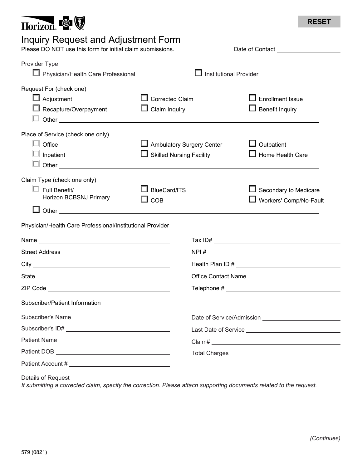

## Inquiry Request and Adjustment Form

Please DO NOT use this form for initial claim submissions. Date of Contact Lease DO NOT use this form for initial claim submissions.

| Provider Type<br>Physician/Health Care Professional                           | <b>Institutional Provider</b>                                         |  |                                                          |
|-------------------------------------------------------------------------------|-----------------------------------------------------------------------|--|----------------------------------------------------------|
| Request For (check one)<br>$\Box$ Adjustment<br>$\Box$ Recapture/Overpayment  | <b>Corrected Claim</b><br>Claim Inquiry                               |  | <b>Enrollment Issue</b><br>$\Box$ Benefit Inquiry        |
| Place of Service (check one only)<br>Office<br>L.<br>Inpatient                | <b>□</b> Ambulatory Surgery Center<br>$\Box$ Skilled Nursing Facility |  | $\Box$ Outpatient<br>$\Box$ Home Health Care             |
| Claim Type (check one only)<br>$\Box$ Full Benefit/<br>Horizon BCBSNJ Primary | <b>BlueCard/ITS</b><br>COB                                            |  | $\Box$ Secondary to Medicare<br>■ Workers' Comp/No-Fault |
| Physician/Health Care Professional/Institutional Provider                     |                                                                       |  |                                                          |
|                                                                               |                                                                       |  |                                                          |
|                                                                               |                                                                       |  |                                                          |
|                                                                               |                                                                       |  |                                                          |
|                                                                               |                                                                       |  |                                                          |
|                                                                               |                                                                       |  |                                                          |
| Subscriber/Patient Information                                                |                                                                       |  |                                                          |
|                                                                               |                                                                       |  |                                                          |
|                                                                               |                                                                       |  |                                                          |
|                                                                               |                                                                       |  |                                                          |
|                                                                               |                                                                       |  |                                                          |
|                                                                               |                                                                       |  |                                                          |

Details of Request

*If submitting a corrected claim, specify the correction. Please attach supporting documents related to the request.*